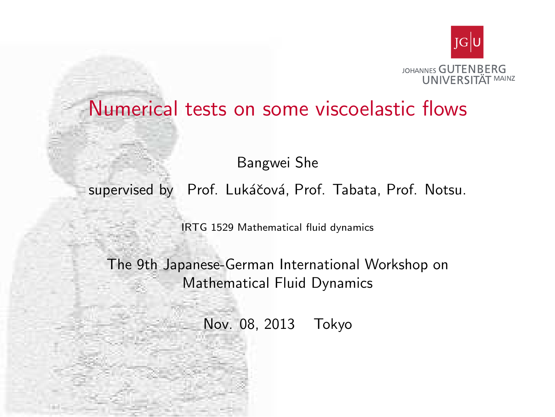

#### Numerical tests on some viscoelastic flows

Bangwei She

supervised by Prof. Lukáčová, Prof. Tabata, Prof. Notsu.

IRTG 1529 Mathematical fluid dynamics

<span id="page-0-0"></span>The 9th Japanese-German International Workshop on Mathematical Fluid Dynamics

Nov. 08, 2013 Tokyo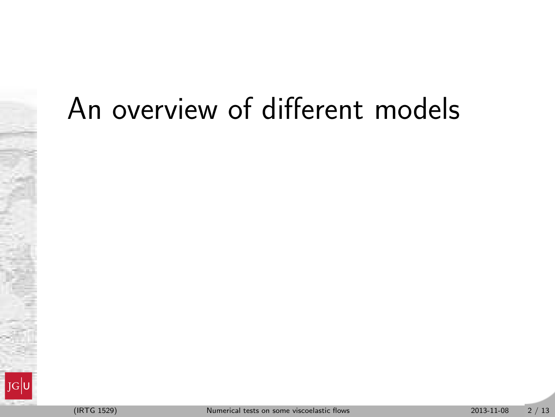### An overview of different models

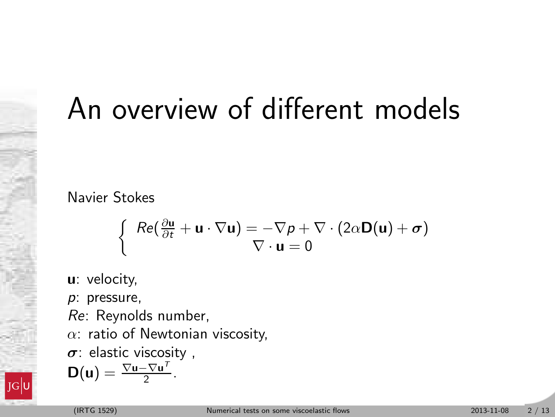### An overview of different models

Navier Stokes

$$
\left\{\begin{array}{l} Re(\frac{\partial \mathbf{u}}{\partial t} + \mathbf{u} \cdot \nabla \mathbf{u}) = -\nabla p + \nabla \cdot (2\alpha \mathbf{D}(\mathbf{u}) + \boldsymbol{\sigma}) \\ \nabla \cdot \mathbf{u} = 0 \end{array}\right.
$$

u: velocity,

p: pressure,

Re: Reynolds number,

 $\alpha$ : ratio of Newtonian viscosity,

.

 $\sigma$ : elastic viscosity,

$$
D(u) = \frac{\nabla u - \nabla u^{\mathsf{T}}}{2}
$$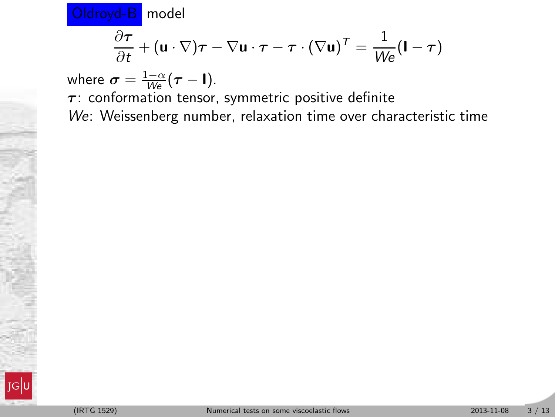$$
\frac{\partial \boldsymbol{\tau}}{\partial t} + (\mathbf{u} \cdot \nabla)\boldsymbol{\tau} - \nabla \mathbf{u} \cdot \boldsymbol{\tau} - \boldsymbol{\tau} \cdot (\nabla \mathbf{u})^T = \frac{1}{\mathcal{W}\boldsymbol{e}} (\mathbf{I} - \boldsymbol{\tau})
$$

where  $\sigma = \frac{1-\alpha}{We}(\tau - \mathbf{I}).$  $\tau$ : conformation tensor, symmetric positive definite We: Weissenberg number, relaxation time over characteristic time

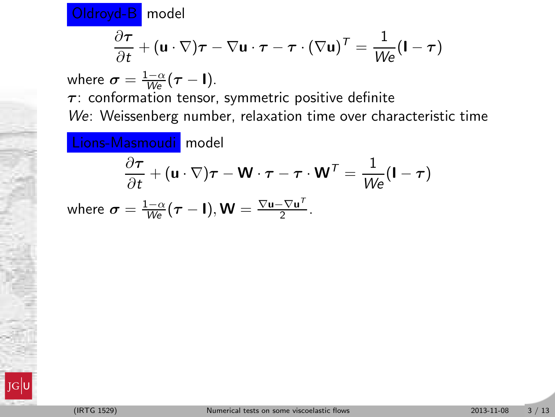$$
\frac{\partial \boldsymbol{\tau}}{\partial t} + (\mathbf{u} \cdot \nabla)\boldsymbol{\tau} - \nabla \mathbf{u} \cdot \boldsymbol{\tau} - \boldsymbol{\tau} \cdot (\nabla \mathbf{u})^T = \frac{1}{W \epsilon} (\mathbf{I} - \boldsymbol{\tau})
$$

where  $\sigma = \frac{1-\alpha}{We}(\tau - \mathbf{I}).$ 

 $\tau$ : conformation tensor, symmetric positive definite We: Weissenberg number, relaxation time over characteristic time

**Lions-Masmoudi** model  
\n
$$
\frac{\partial \tau}{\partial t} + (\mathbf{u} \cdot \nabla)\tau - \mathbf{W} \cdot \tau - \tau \cdot \mathbf{W}^T = \frac{1}{We}(\mathbf{I} - \tau)
$$
\nwhere  $\sigma = \frac{1-\alpha}{We}(\tau - \mathbf{I}), \mathbf{W} = \frac{\nabla \mathbf{u} - \nabla \mathbf{u}^T}{2}$ .

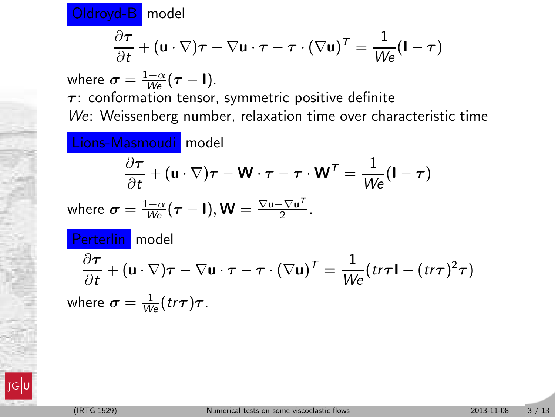$$
\frac{\partial \boldsymbol{\tau}}{\partial t} + (\mathbf{u} \cdot \nabla)\boldsymbol{\tau} - \nabla \mathbf{u} \cdot \boldsymbol{\tau} - \boldsymbol{\tau} \cdot (\nabla \mathbf{u})^T = \frac{1}{W \epsilon} (\mathbf{I} - \boldsymbol{\tau})
$$

where  $\sigma = \frac{1-\alpha}{We}(\tau - \mathbf{I}).$  $\tau$ : conformation tensor, symmetric positive definite

We: Weissenberg number, relaxation time over characteristic time

Lions-Masmoudi model  
\n
$$
\frac{\partial \tau}{\partial t} + (\mathbf{u} \cdot \nabla) \tau - \mathbf{W} \cdot \tau - \tau \cdot \mathbf{W}^T = \frac{1}{We} (\mathbf{I} - \tau)
$$
\nwhere  $\sigma = \frac{1-\alpha}{We} (\tau - \mathbf{I}), \mathbf{W} = \frac{\nabla \mathbf{u} - \nabla \mathbf{u}^T}{2}.$   
\n**Perterlin** model  
\n
$$
\frac{\partial \tau}{\partial t} + (\mathbf{u} \cdot \nabla) \tau - \nabla \mathbf{u} \cdot \tau - \tau \cdot (\nabla \mathbf{u})^T = \frac{1}{We} (tr\tau \mathbf{I} - (tr\tau)^2 \tau)
$$
\nwhere  $\sigma = \frac{1}{We} (tr\tau) \tau$ .

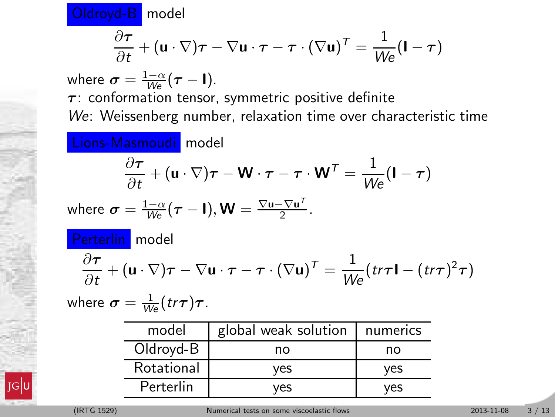$$
\frac{\partial \boldsymbol{\tau}}{\partial t} + (\mathbf{u} \cdot \nabla)\boldsymbol{\tau} - \nabla \mathbf{u} \cdot \boldsymbol{\tau} - \boldsymbol{\tau} \cdot (\nabla \mathbf{u})^T = \frac{1}{W \epsilon} (\mathbf{I} - \boldsymbol{\tau})
$$

where  $\sigma = \frac{1-\alpha}{We}(\tau - \mathbf{I}).$  $\tau$ : conformation tensor, symmetric positive definite

We: Weissenberg number, relaxation time over characteristic time

Lions-Masmoudi model  
\n
$$
\frac{\partial \tau}{\partial t} + (\mathbf{u} \cdot \nabla) \tau - \mathbf{W} \cdot \tau - \tau \cdot \mathbf{W}^T = \frac{1}{W_e} (\mathbf{I} - \tau)
$$
\nwhere  $\sigma = \frac{1-\alpha}{W_e} (\tau - \mathbf{I}), \mathbf{W} = \frac{\nabla \mathbf{u} - \nabla \mathbf{u}^T}{2}.$   
\n**Perterlin** model  
\n
$$
\frac{\partial \tau}{\partial t} + (\mathbf{u} \cdot \nabla) \tau - \nabla \mathbf{u} \cdot \tau - \tau \cdot (\nabla \mathbf{u})^T = \frac{1}{W_e} (tr\tau \mathbf{I} - (tr\tau)^2 \tau)
$$
\nwhere  $\sigma = \frac{1}{W_e} (tr\tau) \tau$ .

| model      | global weak solution | numerics |  |
|------------|----------------------|----------|--|
| Oldroyd-B  | no                   | no       |  |
| Rotational | ves                  | ves      |  |
| Perterlin  | ves                  | ves      |  |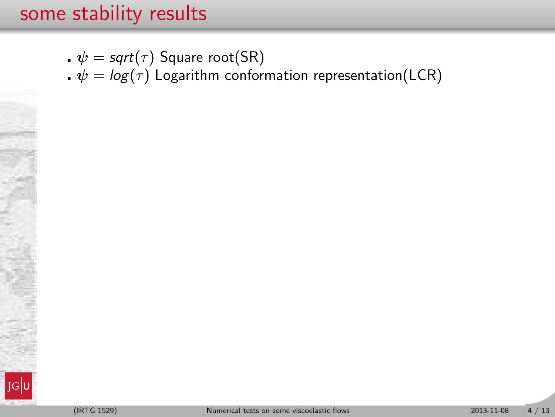- .  $\psi = sqrt(\tau)$  Square root(SR)
- $\psi = \log(\tau)$  Logarithm conformation representation(LCR)

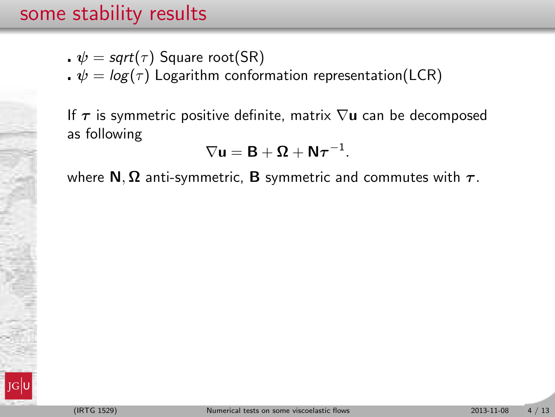- $\cdot \psi = \mathsf{sqrt}(\tau)$  Square root(SR)
- $\psi = \log(\tau)$  Logarithm conformation representation(LCR)

If  $\tau$  is symmetric positive definite, matrix  $\nabla$ **u** can be decomposed as following

$$
\nabla \mathbf{u} = \mathbf{B} + \mathbf{\Omega} + \mathbf{N} \boldsymbol{\tau}^{-1}.
$$

where  $N$ ,  $\Omega$  anti-symmetric, **B** symmetric and commutes with  $\tau$ .

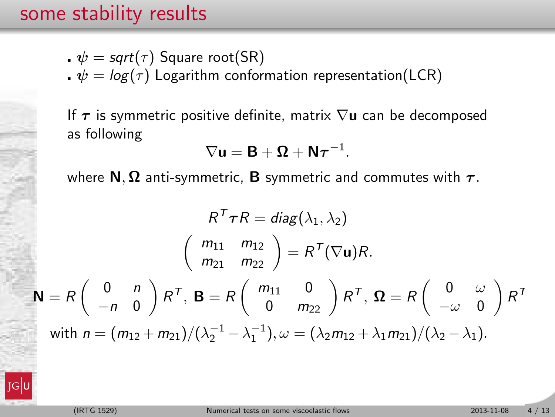- $\cdot \psi = \mathsf{sqrt}(\tau)$  Square root(SR)
- $\psi = \log(\tau)$  Logarithm conformation representation(LCR)

If  $\tau$  is symmetric positive definite, matrix  $\nabla$ **u** can be decomposed as following

$$
\nabla \mathbf{u} = \mathbf{B} + \mathbf{\Omega} + \mathbf{N} \boldsymbol{\tau}^{-1}.
$$

where  $N$ ,  $\Omega$  anti-symmetric, **B** symmetric and commutes with  $\tau$ .

$$
R^{T} \tau R = diag(\lambda_{1}, \lambda_{2})
$$

$$
\begin{pmatrix} m_{11} & m_{12} \\ m_{21} & m_{22} \end{pmatrix} = R^{T}(\nabla \mathbf{u})R.
$$

$$
\mathbf{N} = R \begin{pmatrix} 0 & n \\ -n & 0 \end{pmatrix} R^{T}, \mathbf{B} = R \begin{pmatrix} m_{11} & 0 \\ 0 & m_{22} \end{pmatrix} R^{T}, \Omega = R \begin{pmatrix} 0 & \omega \\ -\omega & 0 \end{pmatrix} R^{T}
$$
with  $n = (m_{12} + m_{21})/(\lambda_{2}^{-1} - \lambda_{1}^{-1}), \omega = (\lambda_{2}m_{12} + \lambda_{1}m_{21})/(\lambda_{2} - \lambda_{1}).$ 

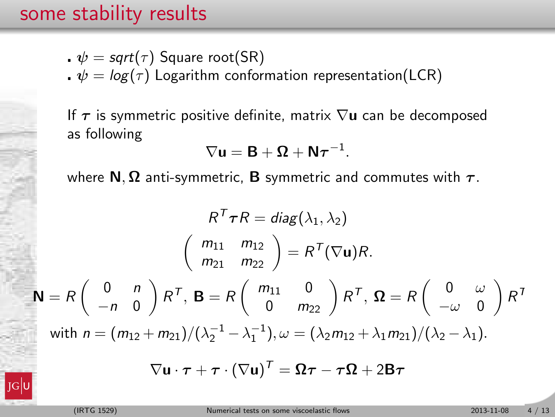- $\cdot \psi = \mathsf{sqrt}(\tau)$  Square root(SR)
- $\psi = \log(\tau)$  Logarithm conformation representation(LCR)

If  $\tau$  is symmetric positive definite, matrix  $\nabla$ **u** can be decomposed as following

$$
\nabla \mathbf{u} = \mathbf{B} + \mathbf{\Omega} + \mathbf{N} \boldsymbol{\tau}^{-1}.
$$

where  $N$ ,  $\Omega$  anti-symmetric, **B** symmetric and commutes with  $\tau$ .

$$
R^{T}\tau R = diag(\lambda_{1}, \lambda_{2})
$$
\n
$$
\begin{pmatrix} m_{11} & m_{12} \\ m_{21} & m_{22} \end{pmatrix} = R^{T}(\nabla \mathbf{u})R.
$$
\n
$$
\mathbf{N} = R \begin{pmatrix} 0 & n \\ -n & 0 \end{pmatrix} R^{T}, \mathbf{B} = R \begin{pmatrix} m_{11} & 0 \\ 0 & m_{22} \end{pmatrix} R^{T}, \Omega = R \begin{pmatrix} 0 & \omega \\ -\omega & 0 \end{pmatrix} R^{T}
$$
\nwith  $n = (m_{12} + m_{21})/(\lambda_{2}^{-1} - \lambda_{1}^{-1}), \omega = (\lambda_{2}m_{12} + \lambda_{1}m_{21})/(\lambda_{2} - \lambda_{1}).$ \n
$$
\nabla \mathbf{u} \cdot \boldsymbol{\tau} + \boldsymbol{\tau} \cdot (\nabla \mathbf{u})^{T} = \Omega \boldsymbol{\tau} - \boldsymbol{\tau} \Omega + 2\mathbf{B} \boldsymbol{\tau}
$$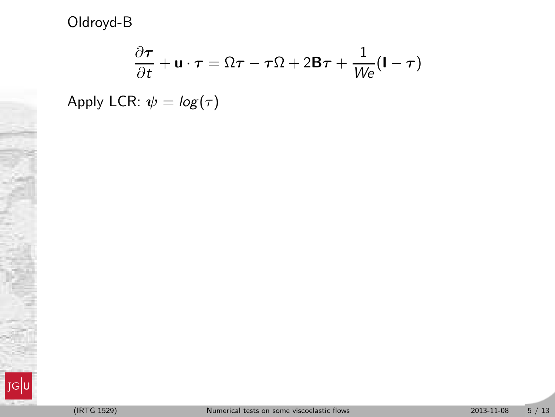$$
\frac{\partial \tau}{\partial t} + \mathbf{u} \cdot \boldsymbol{\tau} = \Omega \boldsymbol{\tau} - \boldsymbol{\tau} \Omega + 2 \mathbf{B} \boldsymbol{\tau} + \frac{1}{W \epsilon} (\mathbf{I} - \boldsymbol{\tau})
$$

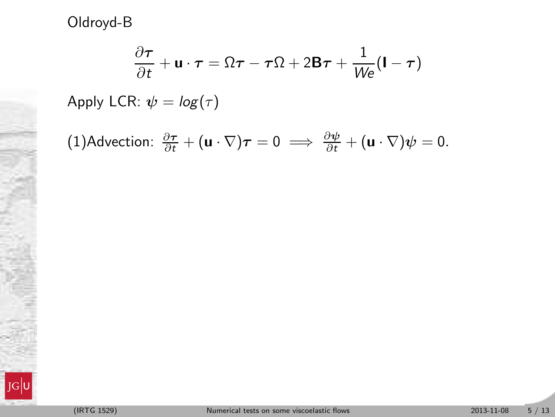$$
\frac{\partial \tau}{\partial t} + \mathbf{u} \cdot \boldsymbol{\tau} = \Omega \boldsymbol{\tau} - \boldsymbol{\tau} \Omega + 2 \mathbf{B} \boldsymbol{\tau} + \frac{1}{W \mathbf{e}} (\mathbf{I} - \boldsymbol{\tau})
$$

(1)Advection: 
$$
\frac{\partial \tau}{\partial t} + (\mathbf{u} \cdot \nabla)\tau = 0 \implies \frac{\partial \psi}{\partial t} + (\mathbf{u} \cdot \nabla)\psi = 0.
$$

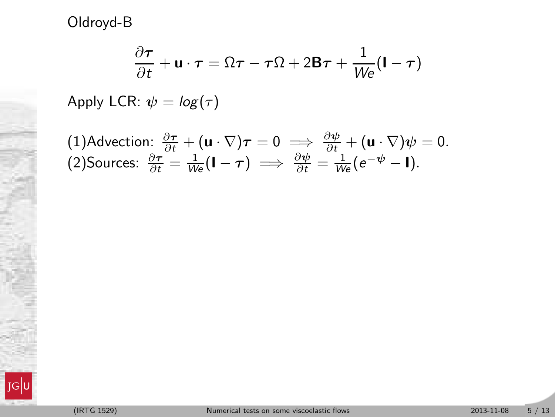$$
\frac{\partial \tau}{\partial t} + \mathbf{u} \cdot \boldsymbol{\tau} = \Omega \boldsymbol{\tau} - \boldsymbol{\tau} \Omega + 2 \mathbf{B} \boldsymbol{\tau} + \frac{1}{W \mathbf{e}} (\mathbf{I} - \boldsymbol{\tau})
$$

(1)Advection: 
$$
\frac{\partial \tau}{\partial t} + (\mathbf{u} \cdot \nabla)\tau = 0 \implies \frac{\partial \psi}{\partial t} + (\mathbf{u} \cdot \nabla)\psi = 0.
$$
  
(2) Sources:  $\frac{\partial \tau}{\partial t} = \frac{1}{We}(\mathbf{I} - \tau) \implies \frac{\partial \psi}{\partial t} = \frac{1}{We}(e^{-\psi} - \mathbf{I}).$ 

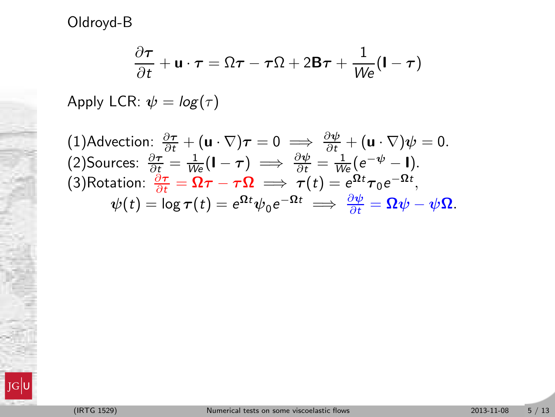$$
\frac{\partial \tau}{\partial t} + \mathbf{u} \cdot \boldsymbol{\tau} = \Omega \boldsymbol{\tau} - \boldsymbol{\tau} \Omega + 2 \mathbf{B} \boldsymbol{\tau} + \frac{1}{W \epsilon} (\mathbf{I} - \boldsymbol{\tau})
$$

(1)Advection: 
$$
\frac{\partial \tau}{\partial t} + (\mathbf{u} \cdot \nabla)\tau = 0 \implies \frac{\partial \psi}{\partial t} + (\mathbf{u} \cdot \nabla)\psi = 0.
$$
  
\n(2) Sources:  $\frac{\partial \tau}{\partial t} = \frac{1}{W_e}(\mathbf{l} - \tau) \implies \frac{\partial \psi}{\partial t} = \frac{1}{W_e}(e^{-\psi} - \mathbf{l}).$   
\n(3)Rotation:  $\frac{\partial \tau}{\partial t} = \Omega \tau - \tau \Omega \implies \tau(t) = e^{\Omega t} \tau_0 e^{-\Omega t},$   
\n $\psi(t) = \log \tau(t) = e^{\Omega t} \psi_0 e^{-\Omega t} \implies \frac{\partial \psi}{\partial t} = \Omega \psi - \psi \Omega.$ 

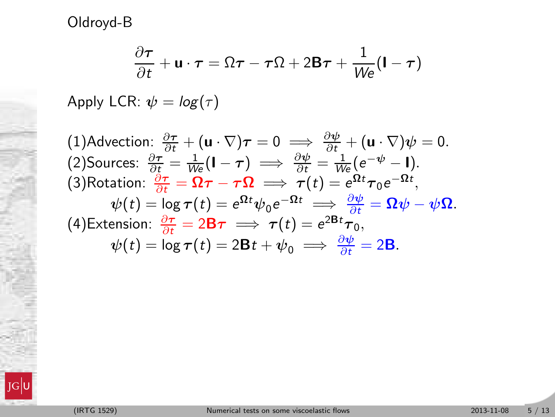$$
\frac{\partial \tau}{\partial t} + \mathbf{u} \cdot \boldsymbol{\tau} = \Omega \boldsymbol{\tau} - \boldsymbol{\tau} \Omega + 2 \mathbf{B} \boldsymbol{\tau} + \frac{1}{W \epsilon} (\mathbf{I} - \boldsymbol{\tau})
$$

Apply LCR:  $\psi = \log(\tau)$ 

(1)Advection:  $\frac{\partial \boldsymbol{\tau}}{\partial t} + (\mathbf{u} \cdot \nabla) \boldsymbol{\tau} = 0 \implies \frac{\partial \boldsymbol{\psi}}{\partial t} + (\mathbf{u} \cdot \nabla) \boldsymbol{\psi} = 0.$ (2) Sources:  $\frac{\partial \tau}{\partial \xi} = \frac{1}{We}(\mathbf{I} - \tau) \implies \frac{\partial \psi}{\partial t} = \frac{1}{We} (e^{-\psi} - \mathbf{I}).$ (3)Rotation:  $\frac{\partial \boldsymbol{\tau}}{\partial t} = \boldsymbol{\Omega} \boldsymbol{\tau} - \boldsymbol{\tau} \boldsymbol{\Omega} \implies \boldsymbol{\tau}(t) = e^{\boldsymbol{\Omega} t} \boldsymbol{\tau}_0 e^{-\boldsymbol{\Omega} t},$  $\psi(t) = \log \tau(t) = e^{\Omega t} \psi_0 e^{-\Omega t} \implies \frac{\partial \psi}{\partial t} = \Omega \psi - \psi \Omega.$ (4)Extension:  $\frac{\partial \tau}{\partial t} = 2\mathbf{B}\tau \implies \tau(t) = e^{2\mathbf{B}t}\tau_0$ ,  $\psi(t) = \log \tau(t) = 2Bt + \psi_0 \implies \frac{\partial \psi}{\partial t} = 2B.$ 

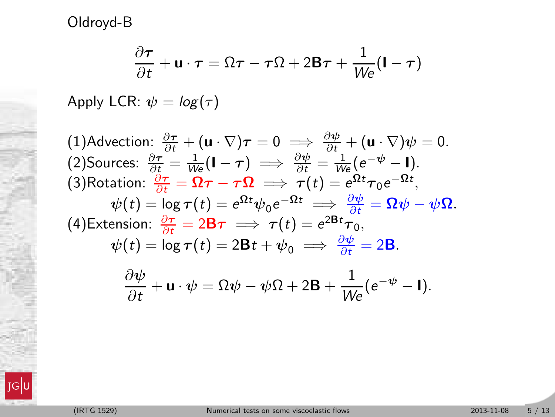$$
\frac{\partial \tau}{\partial t} + \mathbf{u} \cdot \boldsymbol{\tau} = \Omega \boldsymbol{\tau} - \boldsymbol{\tau} \Omega + 2 \mathbf{B} \boldsymbol{\tau} + \frac{1}{W \epsilon} (\mathbf{I} - \boldsymbol{\tau})
$$

Apply LCR:  $\psi = \log(\tau)$ 

(1)Advection:  $\frac{\partial \boldsymbol{\tau}}{\partial t} + (\mathbf{u} \cdot \nabla) \boldsymbol{\tau} = 0 \implies \frac{\partial \boldsymbol{\psi}}{\partial t} + (\mathbf{u} \cdot \nabla) \boldsymbol{\psi} = 0.$ (2) Sources:  $\frac{\partial \tau}{\partial \xi} = \frac{1}{We}(\mathbf{I} - \tau) \implies \frac{\partial \psi}{\partial t} = \frac{1}{We} (e^{-\psi} - \mathbf{I}).$ (3)Rotation:  $\frac{\partial \boldsymbol{\tau}}{\partial t} = \boldsymbol{\Omega} \boldsymbol{\tau} - \boldsymbol{\tau} \boldsymbol{\Omega} \implies \boldsymbol{\tau}(t) = e^{\boldsymbol{\Omega} t} \boldsymbol{\tau}_0 e^{-\boldsymbol{\Omega} t},$  $\psi(t) = \log \tau(t) = e^{\Omega t} \psi_0 e^{-\Omega t} \implies \frac{\partial \psi}{\partial t} = \Omega \psi - \psi \Omega.$ (4)Extension:  $\frac{\partial \tau}{\partial t} = 2\mathbf{B}\tau \implies \tau(t) = e^{2\mathbf{B}t}\tau_0$ ,  $\psi(t) = \log \tau(t) = 2Bt + \psi_0 \implies \frac{\partial \psi}{\partial t} = 2B.$ ∂ψ  $\frac{\partial \psi}{\partial t} + \mathbf{u} \cdot \psi = \Omega \psi - \psi \Omega + 2 \mathbf{B} + \frac{1}{W e} (e^{-\psi} - \mathbf{I}).$ 

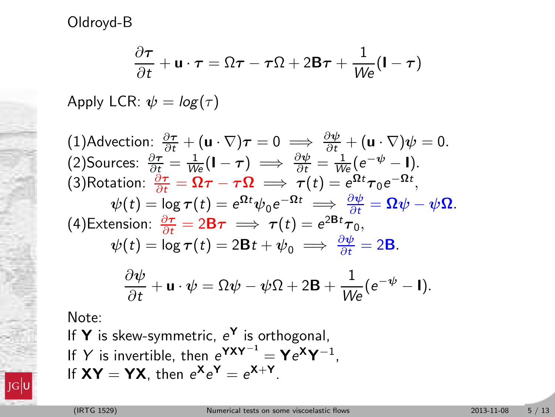$$
\frac{\partial \tau}{\partial t} + \mathbf{u} \cdot \boldsymbol{\tau} = \Omega \boldsymbol{\tau} - \boldsymbol{\tau} \Omega + 2 \mathbf{B} \boldsymbol{\tau} + \frac{1}{W \epsilon} (\mathbf{I} - \boldsymbol{\tau})
$$

Apply LCR:  $\psi = \log(\tau)$ 

(1)Advection:  $\frac{\partial \boldsymbol{\tau}}{\partial t} + (\mathbf{u} \cdot \nabla) \boldsymbol{\tau} = 0 \implies \frac{\partial \boldsymbol{\psi}}{\partial t} + (\mathbf{u} \cdot \nabla) \boldsymbol{\psi} = 0.$ (2) Sources:  $\frac{\partial \tau}{\partial \xi} = \frac{1}{We}(\mathbf{I} - \tau) \implies \frac{\partial \psi}{\partial t} = \frac{1}{We} (e^{-\psi} - \mathbf{I}).$ (3)Rotation:  $\frac{\partial \boldsymbol{\tau}}{\partial t} = \boldsymbol{\Omega} \boldsymbol{\tau} - \boldsymbol{\tau} \boldsymbol{\Omega} \implies \boldsymbol{\tau}(t) = e^{\boldsymbol{\Omega} t} \boldsymbol{\tau}_0 e^{-\boldsymbol{\Omega} t},$  $\psi(t) = \log \tau(t) = e^{\Omega t} \psi_0 e^{-\Omega t} \implies \frac{\partial \psi}{\partial t} = \Omega \psi - \psi \Omega.$ (4)Extension:  $\frac{\partial \tau}{\partial t} = 2\mathbf{B}\tau \implies \tau(t) = e^{2\mathbf{B}t}\tau_0$ ,  $\psi(t) = \log \tau(t) = 2Bt + \psi_0 \implies \frac{\partial \psi}{\partial t} = 2B.$ ∂ψ  $\frac{\partial \psi}{\partial t} + \mathbf{u} \cdot \psi = \Omega \psi - \psi \Omega + 2 \mathbf{B} + \frac{1}{W e} (e^{-\psi} - \mathbf{I}).$ 

Note:

If  $Y$  is skew-symmetric,  $e^Y$  is orthogonal, If Y is invertible, then  $e^{YXY^{-1}} = Ye^{XY^{-1}}$ , If  $XY = YX$ , then  $e^X e^Y = e^{X+Y}$ .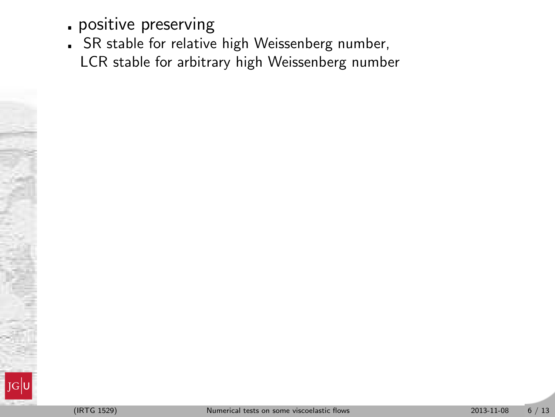- positive preserving
- SR stable for relative high Weissenberg number, LCR stable for arbitrary high Weissenberg number

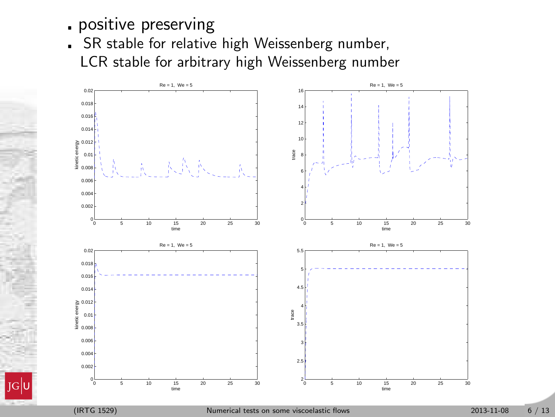- positive preserving
- SR stable for relative high Weissenberg number, LCR stable for arbitrary high Weissenberg number

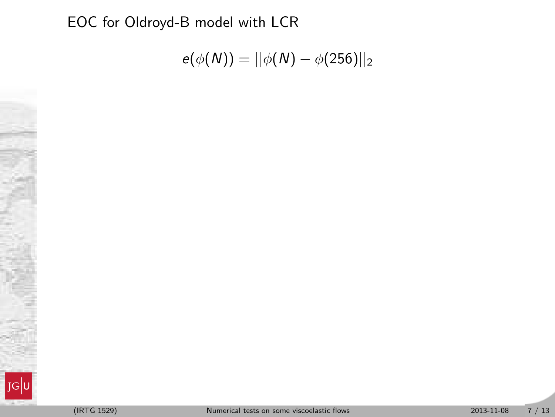EOC for Oldroyd-B model with LCR

$$
e(\phi(N)) = ||\phi(N) - \phi(256)||_2
$$

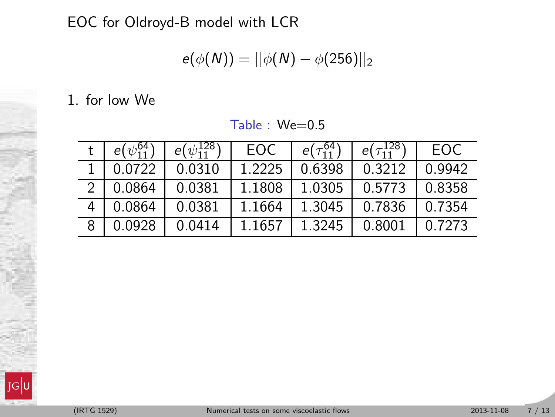EOC for Oldroyd-B model with LCR

$$
e(\phi(N)) = ||\phi(N) - \phi(256)||_2
$$

1. for low We

|               | $e(\psi_{11}^{04})$ | $e(\psi_{11}^{120})$ | EOC    | $e(\tau_{11}^{64})$ | $e(\tau_{11}^{120})$ | EOC.   |
|---------------|---------------------|----------------------|--------|---------------------|----------------------|--------|
|               | 0.0722              | 0.0310               | 1.2225 | 0.6398              | 0.3212               | 0.9942 |
| $\mathcal{D}$ | 0.0864              | 0.0381               | 1.1808 | 1.0305              | 0.5773               | 0.8358 |
|               | 0.0864              | 0.0381               | 1.1664 | 1.3045              | 0.7836               | 0.7354 |
| 8             | 0.0928              | 0.0414               | 1.1657 | 1.3245              | 0.8001               | 0.7273 |

Table : We=0.5

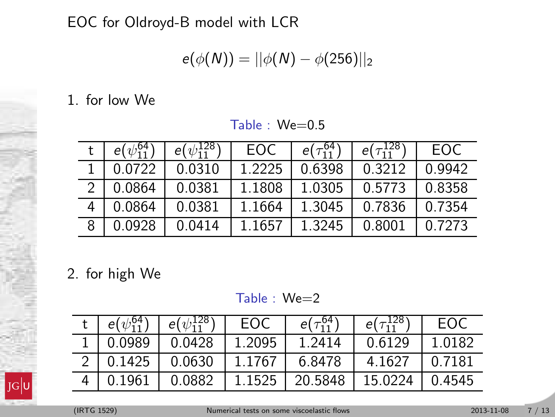EOC for Oldroyd-B model with LCR

$$
e(\phi(N)) = ||\phi(N) - \phi(256)||_2
$$

1. for low We

| $e(\psi_{11}^{04})$ | $e(\psi_{11}^{120})$ | EOC    | $e(\tau_{11}^{64})$ | $e(\tau_{11}^{120})$ | EOC.   |
|---------------------|----------------------|--------|---------------------|----------------------|--------|
| 0.0722              | 0.0310               | 1.2225 | 0.6398              | 0.3212               | 0.9942 |
| 0.0864              | 0.0381               | 1.1808 | 1.0305              | 0.5773               | 0.8358 |
| 0.0864              | 0.0381               | 1.1664 | 1.3045              | 0.7836               | 0.7354 |
| 0.0928              | 0.0414               | 1.1657 | 1.3245              | 0.8001               | 0.7273 |

Table : We=0.5

2. for high We

Table : We=2

| $e(\psi_{11}^{04})$ | $e(\psi_{11}^{128})$ 1       | EOC    | $e(\tau_{11}^{04})$ | $e(\tau_{11}^{120})$ | FOC.   |
|---------------------|------------------------------|--------|---------------------|----------------------|--------|
| 0.0989              | 0.0428                       | 1.2095 | 1.2414              | 0.6129               | 1 0182 |
|                     | 2   0.1425   0.0630   1.1767 |        | 6.8478              | 4.1627               | በ 7181 |
| 0.1961              |                              |        |                     | 15.0224              | 0.4545 |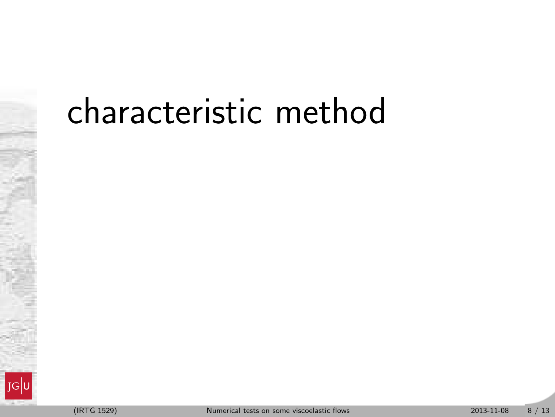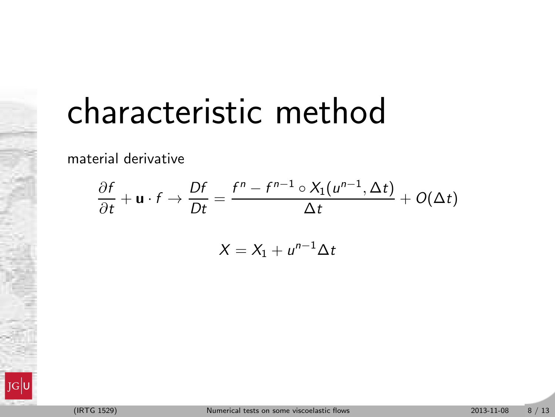material derivative

$$
\frac{\partial f}{\partial t} + \mathbf{u} \cdot f \to \frac{Df}{Dt} = \frac{f^n - f^{n-1} \circ X_1(u^{n-1}, \Delta t)}{\Delta t} + O(\Delta t)
$$

$$
X = X_1 + u^{n-1} \Delta t
$$

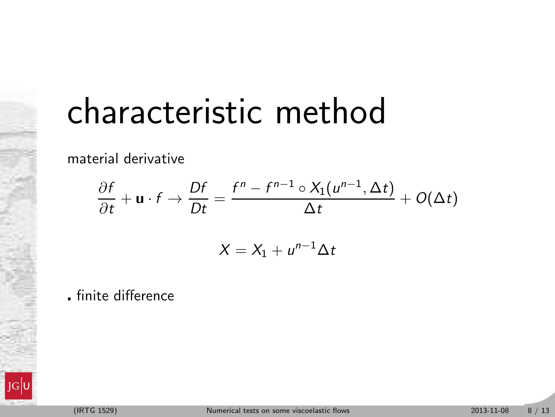material derivative

$$
\frac{\partial f}{\partial t} + \mathbf{u} \cdot f \to \frac{Df}{Dt} = \frac{f^n - f^{n-1} \circ X_1(u^{n-1}, \Delta t)}{\Delta t} + O(\Delta t)
$$

$$
X = X_1 + u^{n-1} \Delta t
$$

finite difference

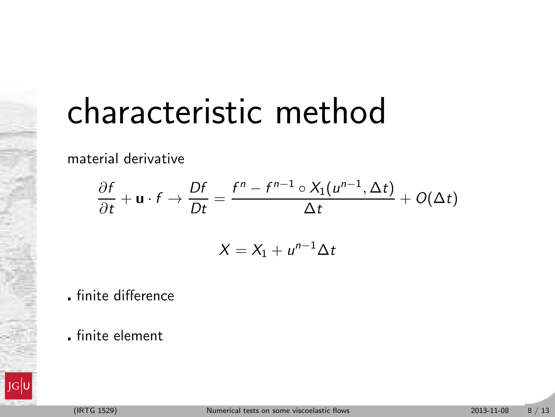material derivative

$$
\frac{\partial f}{\partial t} + \mathbf{u} \cdot f \to \frac{Df}{Dt} = \frac{f^n - f^{n-1} \circ X_1(u^{n-1}, \Delta t)}{\Delta t} + O(\Delta t)
$$

$$
X = X_1 + u^{n-1} \Delta t
$$

- finite difference
- finite element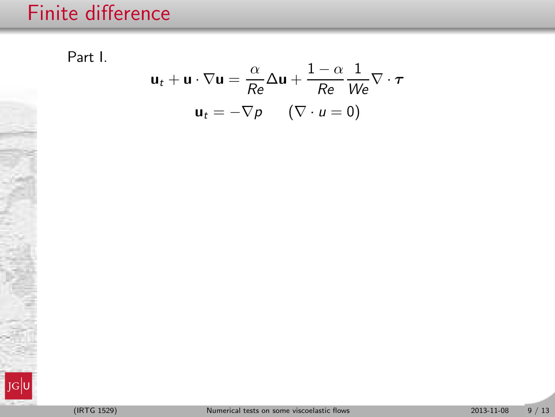Part I.

 $\mathbf{u}_t + \mathbf{u} \cdot \nabla \mathbf{u} = \frac{\alpha}{Re} \Delta \mathbf{u} + \frac{1-\alpha}{Re}$ 

 $u_t = -\nabla p \qquad (\nabla \cdot u = 0)$ 

Re

 $\frac{1}{W} \nabla \cdot \boldsymbol{\tau}$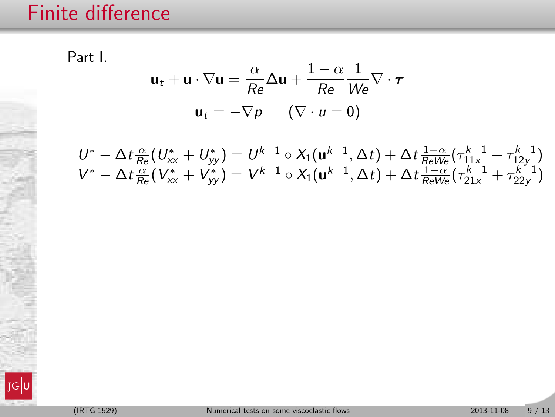Part I.

$$
\mathbf{u}_t + \mathbf{u} \cdot \nabla \mathbf{u} = \frac{\alpha}{Re} \Delta \mathbf{u} + \frac{1 - \alpha}{Re} \frac{1}{We} \nabla \cdot \boldsymbol{\tau}
$$

$$
\mathbf{u}_t = -\nabla p \qquad (\nabla \cdot \boldsymbol{u} = 0)
$$

$$
\begin{array}{l} U^*-\Delta t\frac{\alpha}{Re}(U^*_{xx}+U^*_{yy})=U^{k-1}\circ X_1({\bf u}^{k-1},\Delta t)+\Delta t\frac{1-\alpha}{Re}(\tau^{k-1}_{11x}+\tau^{k-1}_{12y}) \\ V^*-\Delta t\frac{\alpha}{Re}(V^*_{xx}+V^*_{yy})=V^{k-1}\circ X_1({\bf u}^{k-1},\Delta t)+\Delta t\frac{1-\alpha}{ReWe}(\tau^{k-1}_{21x}+\tau^{k-1}_{22y})\end{array}
$$

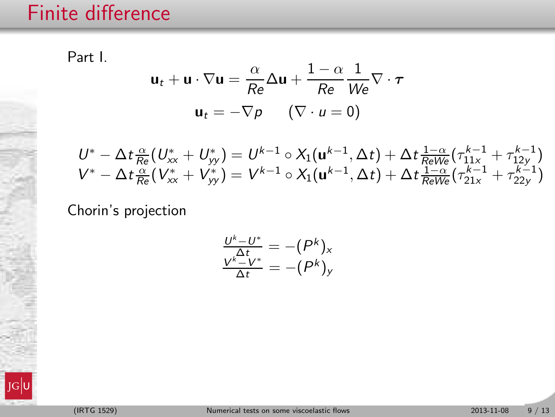Part I.

 $\mathbf{u}_t + \mathbf{u} \cdot \nabla \mathbf{u} = \frac{\alpha}{Re} \Delta \mathbf{u} + \frac{1-\alpha}{Re}$ Re  $\frac{1}{W} \nabla \cdot \boldsymbol{\tau}$  $u_t = -\nabla p \qquad (\nabla \cdot u = 0)$ 

$$
\begin{array}{l} U^*-\Delta t\frac{\alpha}{Re}(U^*_{xx}+U^*_{yy})=U^{k-1}\circ X_1({\bf u}^{k-1},\Delta t)+\Delta t\frac{1-\alpha}{Re}(\tau^{k-1}_{11x}+\tau^{k-1}_{12y}) \\ V^*-\Delta t\frac{\alpha}{Re}(V^*_{xx}+V^*_{yy})=V^{k-1}\circ X_1({\bf u}^{k-1},\Delta t)+\Delta t\frac{1-\alpha}{ReWe}(\tau^{k-1}_{21x}+\tau^{k-1}_{22y})\end{array}
$$

Chorin's projection

$$
\frac{U^k - U^*}{\Delta t} = - (P^k)_x
$$
  

$$
\frac{V^k - V^*}{\Delta t} = -(P^k)_y
$$

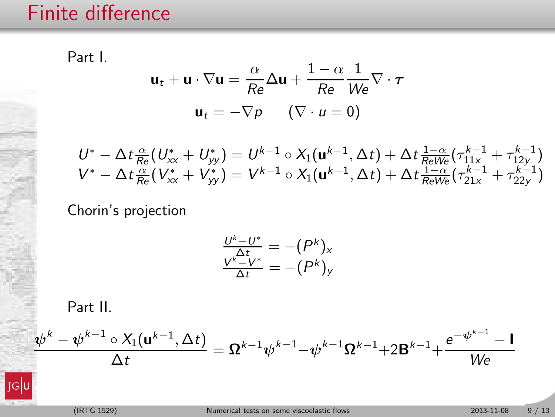Part I.

 $\mathbf{u}_t + \mathbf{u} \cdot \nabla \mathbf{u} = \frac{\alpha}{Re} \Delta \mathbf{u} + \frac{1-\alpha}{Re}$ Re  $\frac{1}{W} \nabla \cdot \boldsymbol{\tau}$  $u_t = -\nabla p \qquad (\nabla \cdot u = 0)$ 

$$
\begin{array}{l} U^*-\Delta t\frac{\alpha}{Re}(U^*_{xx}+U^*_{yy})=U^{k-1}\circ X_1({\bf u}^{k-1},\Delta t)+\Delta t\frac{1-\alpha}{Re}(\tau_{11x}^{k-1}+\tau_{12y}^{k-1})\\ V^*-\Delta t\frac{\alpha}{Re}(V^*_{xx}+V^*_{yy})=V^{k-1}\circ X_1({\bf u}^{k-1},\Delta t)+\Delta t\frac{1-\alpha}{ReWe}(\tau_{21x}^{k-1}+\tau_{22y}^{k-1})\end{array}
$$

Chorin's projection

$$
\frac{U^k - U^*}{\Delta t} = - (P^k)_x
$$
  

$$
\frac{V^k - V^*}{\Delta t} = -(P^k)_y
$$

Part II.

$$
\frac{\psi^k - \psi^{k-1} \circ X_1(\mathbf{u}^{k-1}, \Delta t)}{\Delta t} = \Omega^{k-1} \psi^{k-1} - \psi^{k-1} \Omega^{k-1} + 2 \mathbf{B}^{k-1} + \frac{e^{-\psi^{k-1}} - \mathbf{I}}{W \mathbf{e}}
$$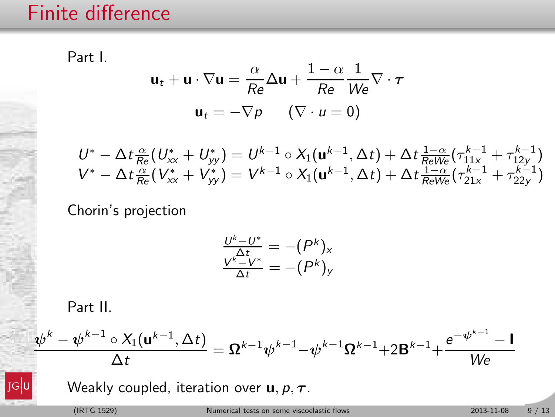Part I.

 $\mathbf{u}_t + \mathbf{u} \cdot \nabla \mathbf{u} = \frac{\alpha}{Re} \Delta \mathbf{u} + \frac{1-\alpha}{Re}$ Re  $\frac{1}{W} \nabla \cdot \boldsymbol{\tau}$  $u_t = -\nabla p \qquad (\nabla \cdot u = 0)$ 

$$
\begin{array}{l} U^*-\Delta t\frac{\alpha}{Re}(U^*_{xx}+U^*_{yy})=U^{k-1}\circ X_1({\bf u}^{k-1},\Delta t)+\Delta t\frac{1-\alpha}{Re}(\tau^{k-1}_{11x}+\tau^{k-1}_{12y}) \\ V^*-\Delta t\frac{\alpha}{Re}(V^*_{xx}+V^*_{yy})=V^{k-1}\circ X_1({\bf u}^{k-1},\Delta t)+\Delta t\frac{1-\alpha}{ReWe}(\tau^{k-1}_{21x}+\tau^{k-1}_{22y})\end{array}
$$

Chorin's projection

$$
\frac{U^k - U^*}{\Delta t} = - (P^k)_x
$$
  

$$
\frac{V^k - V^*}{\Delta t} = -(P^k)_y
$$

Part II.

$$
\frac{\psi^k - \psi^{k-1} \circ X_1(u^{k-1},\Delta t)}{\Delta t} = \Omega^{k-1} \psi^{k-1} - \psi^{k-1} \Omega^{k-1} + 2 B^{k-1} + \frac{e^{-\psi^{k-1}} - I}{We}
$$

Weakly coupled, iteration over  $\mathbf{u}, p, \tau$ .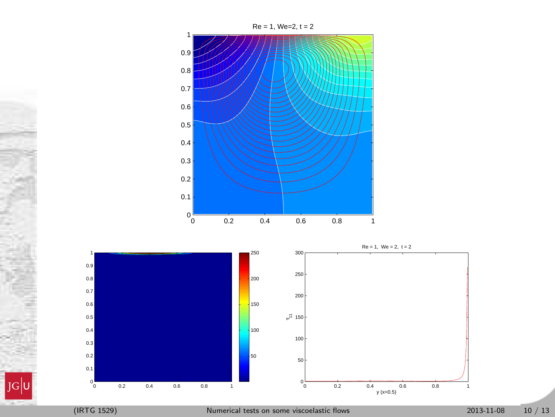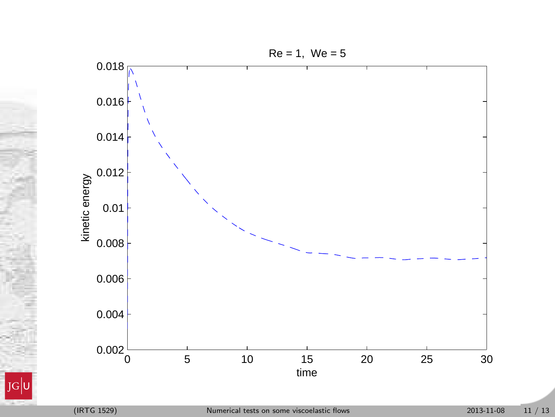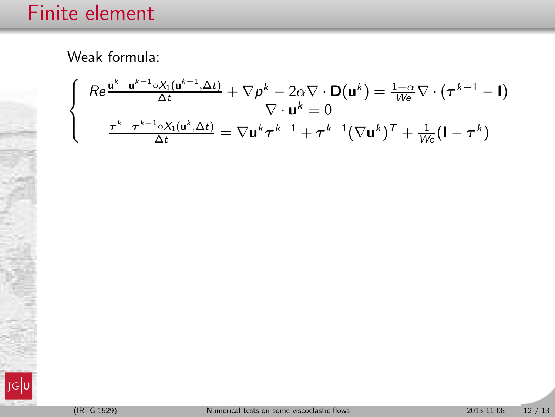$$
\begin{cases}\nRe \frac{\mathbf{u}^{k} - \mathbf{u}^{k-1} \circ X_1(\mathbf{u}^{k-1}, \Delta t)}{\Delta t} + \nabla \rho^k - 2\alpha \nabla \cdot \mathbf{D}(\mathbf{u}^k) = \frac{1 - \alpha}{We} \nabla \cdot (\boldsymbol{\tau}^{k-1} - \mathbf{I}) \\
\nabla \cdot \mathbf{u}^k = 0 \\
\frac{\boldsymbol{\tau}^k - \boldsymbol{\tau}^{k-1} \circ X_1(\mathbf{u}^k, \Delta t)}{\Delta t} = \nabla \mathbf{u}^k \boldsymbol{\tau}^{k-1} + \boldsymbol{\tau}^{k-1} (\nabla \mathbf{u}^k)^\mathsf{T} + \frac{1}{We} (\mathbf{I} - \boldsymbol{\tau}^k)\n\end{cases}
$$

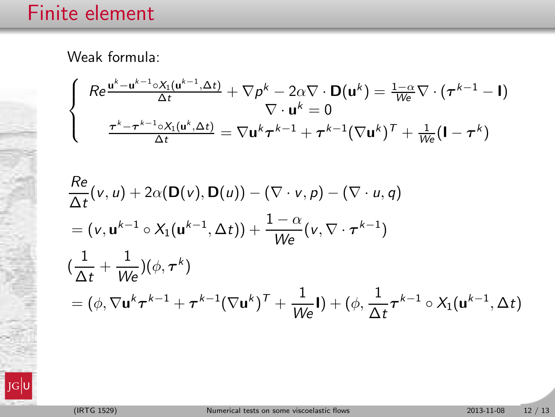$$
\begin{cases}\nRe \frac{\mathbf{u}^{k} - \mathbf{u}^{k-1} \circ X_1(\mathbf{u}^{k-1}, \Delta t)}{\Delta t} + \nabla p^k - 2\alpha \nabla \cdot \mathbf{D}(\mathbf{u}^k) = \frac{1 - \alpha}{We} \nabla \cdot (\boldsymbol{\tau}^{k-1} - \mathbf{I}) \\
\nabla \cdot \mathbf{u}^k = 0 \\
\frac{\boldsymbol{\tau}^k - \boldsymbol{\tau}^{k-1} \circ X_1(\mathbf{u}^k, \Delta t)}{\Delta t} = \nabla \mathbf{u}^k \boldsymbol{\tau}^{k-1} + \boldsymbol{\tau}^{k-1} (\nabla \mathbf{u}^k)^T + \frac{1}{We} (\mathbf{I} - \boldsymbol{\tau}^k)\n\end{cases}
$$

$$
\frac{Re}{\Delta t}(v, u) + 2\alpha(\mathbf{D}(v), \mathbf{D}(u)) - (\nabla \cdot v, p) - (\nabla \cdot u, q)
$$
\n
$$
= (v, \mathbf{u}^{k-1} \circ X_1(\mathbf{u}^{k-1}, \Delta t)) + \frac{1-\alpha}{We}(v, \nabla \cdot \boldsymbol{\tau}^{k-1})
$$
\n
$$
(\frac{1}{\Delta t} + \frac{1}{We})(\phi, \boldsymbol{\tau}^k)
$$
\n
$$
= (\phi, \nabla \mathbf{u}^k \boldsymbol{\tau}^{k-1} + \boldsymbol{\tau}^{k-1}(\nabla \mathbf{u}^k)^T + \frac{1}{We}\mathbf{I}) + (\phi, \frac{1}{\Delta t} \boldsymbol{\tau}^{k-1} \circ X_1(\mathbf{u}^{k-1}, \Delta t)
$$

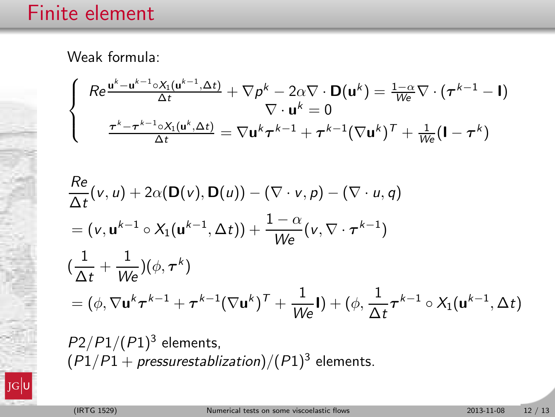$$
\begin{cases}\nRe \frac{\mathbf{u}^{k} - \mathbf{u}^{k-1} \circ X_1(\mathbf{u}^{k-1}, \Delta t)}{\Delta t} + \nabla p^k - 2\alpha \nabla \cdot \mathbf{D}(\mathbf{u}^k) = \frac{1 - \alpha}{We} \nabla \cdot (\boldsymbol{\tau}^{k-1} - \mathbf{I}) \\
\nabla \cdot \mathbf{u}^k = 0 \\
\frac{\boldsymbol{\tau}^k - \boldsymbol{\tau}^{k-1} \circ X_1(\mathbf{u}^k, \Delta t)}{\Delta t} = \nabla \mathbf{u}^k \boldsymbol{\tau}^{k-1} + \boldsymbol{\tau}^{k-1} (\nabla \mathbf{u}^k)^T + \frac{1}{We} (\mathbf{I} - \boldsymbol{\tau}^k)\n\end{cases}
$$

$$
\frac{Re}{\Delta t}(v, u) + 2\alpha(\mathbf{D}(v), \mathbf{D}(u)) - (\nabla \cdot v, p) - (\nabla \cdot u, q)
$$
\n
$$
= (v, \mathbf{u}^{k-1} \circ X_1(\mathbf{u}^{k-1}, \Delta t)) + \frac{1-\alpha}{We}(v, \nabla \cdot \boldsymbol{\tau}^{k-1})
$$
\n
$$
(\frac{1}{\Delta t} + \frac{1}{We})(\phi, \boldsymbol{\tau}^k)
$$
\n
$$
= (\phi, \nabla \mathbf{u}^k \boldsymbol{\tau}^{k-1} + \boldsymbol{\tau}^{k-1}(\nabla \mathbf{u}^k)^T + \frac{1}{We}\mathbf{I}) + (\phi, \frac{1}{\Delta t} \boldsymbol{\tau}^{k-1} \circ X_1(\mathbf{u}^{k-1}, \Delta t)
$$

 $P2/P1/(P1)^3$  elements,  $(P1/P1 + pressurestabilization)/(P1)^3$  elements.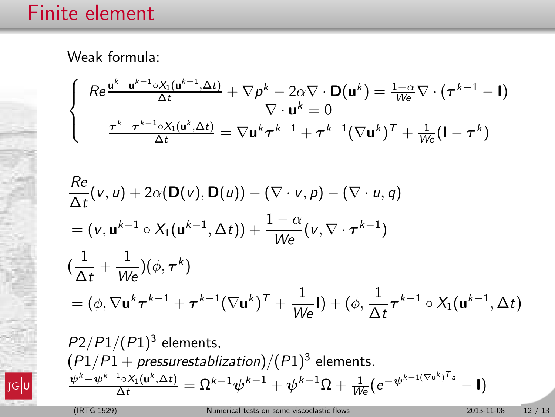$$
\begin{cases}\nRe \frac{\mathbf{u}^{k} - \mathbf{u}^{k-1} \circ X_1(\mathbf{u}^{k-1}, \Delta t)}{\Delta t} + \nabla p^k - 2\alpha \nabla \cdot \mathbf{D}(\mathbf{u}^k) = \frac{1 - \alpha}{We} \nabla \cdot (\boldsymbol{\tau}^{k-1} - \mathbf{I}) \\
\nabla \cdot \mathbf{u}^k = 0 \\
\frac{\boldsymbol{\tau}^k - \boldsymbol{\tau}^{k-1} \circ X_1(\mathbf{u}^k, \Delta t)}{\Delta t} = \nabla \mathbf{u}^k \boldsymbol{\tau}^{k-1} + \boldsymbol{\tau}^{k-1} (\nabla \mathbf{u}^k)^T + \frac{1}{We} (\mathbf{I} - \boldsymbol{\tau}^k)\n\end{cases}
$$

$$
\frac{Re}{\Delta t}(v, u) + 2\alpha(\mathbf{D}(v), \mathbf{D}(u)) - (\nabla \cdot v, p) - (\nabla \cdot u, q)
$$
\n
$$
= (v, \mathbf{u}^{k-1} \circ X_1(\mathbf{u}^{k-1}, \Delta t)) + \frac{1-\alpha}{We}(v, \nabla \cdot \boldsymbol{\tau}^{k-1})
$$
\n
$$
(\frac{1}{\Delta t} + \frac{1}{We})(\phi, \boldsymbol{\tau}^k)
$$
\n
$$
= (\phi, \nabla \mathbf{u}^k \boldsymbol{\tau}^{k-1} + \boldsymbol{\tau}^{k-1}(\nabla \mathbf{u}^k)^T + \frac{1}{We}\mathbf{I}) + (\phi, \frac{1}{\Delta t} \boldsymbol{\tau}^{k-1} \circ X_1(\mathbf{u}^{k-1}, \Delta t)
$$

 $P2/P1/(P1)^3$  elements,  $(P1/P1 + pressurestabilization)/(P1)^3$  elements.  $\frac{\psi^k-\psi^{k-1} \circ X_1(\mathsf{u}^k,\Delta t)}{\Delta t} = \Omega^{k-1}\psi^{k-1} + \psi^{k-1}\Omega + \tfrac{1}{W\mathrm{e}}(\mathrm{e}^{-\psi^{k-1(\nabla \mathsf{u}^k)^T \mathsf{a}}}$ − I)